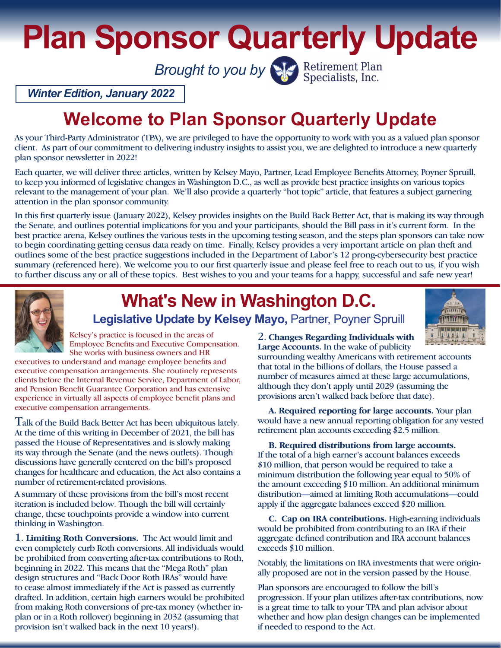**Plan Sponsor Quarterly Update**

**Brought to you by Specialists**, Inc.

*Winter Edition, January 2022*

## **Welcome to Plan Sponsor Quarterly Update**

As your Third-Party Administrator (TPA), we are privileged to have the opportunity to work with you as a valued plan sponsor client. As part of our commitment to delivering industry insights to assist you, we are delighted to introduce a new quarterly plan sponsor newsletter in 2022!

Each quarter, we will deliver three articles, written by Kelsey Mayo, Partner, Lead Employee Benefits Attorney, Poyner Spruill, to keep you informed of legislative changes in Washington D.C., as well as provide best practice insights on various topics relevant to the management of your plan. We'll also provide a quarterly "hot topic" article, that features a subject garnering attention in the plan sponsor community.

In this first quarterly issue (January 2022), Kelsey provides insights on the Build Back Better Act, that is making its way through the Senate, and outlines potential implications for you and your participants, should the Bill pass in it's current form. In the best practice arena, Kelsey outlines the various tests in the upcoming testing season, and the steps plan sponsors can take now to begin coordinating getting census data ready on time. Finally, Kelsey provides a very important article on plan theft and outlines some of the best practice suggestions included in the Department of Labor's 12 prong-cybersecurity best practice summary (referenced here). We welcome you to our first quarterly issue and please feel free to reach out to us, if you wish to further discuss any or all of these topics. Best wishes to you and your teams for a happy, successful and safe new year!



# **What's New in Washington D.C.**

Legislative Update by Kelsey Mayo, Partner, Poyner Spruill



Kelsey's practice is focused in the areas of Employee Benefits and Executive Compensation. She works with business owners and HR

executives to understand and manage employee benefits and executive compensation arrangements. She routinely represents clients before the Internal Revenue Service, Department of Labor, and Pension Benefit Guarantee Corporation and has extensive experience in virtually all aspects of employee benefit plans and executive compensation arrangements.

Talk of the Build Back Better Act has been ubiquitous lately. At the time of this writing in December of 2021, the bill has passed the House of Representatives and is slowly making its way through the Senate (and the news outlets). Though discussions have generally centered on the bill's proposed changes for healthcare and education, the Act also contains a number of retirement-related provisions.

A summary of these provisions from the bill's most recent iteration is included below. Though the bill will certainly change, these touchpoints provide a window into current thinking in Washington.

1. **Limiting Roth Conversions.** The Act would limit and even completely curb Roth conversions. All individuals would be prohibited from converting after-tax contributions to Roth, beginning in 2022. This means that the "Mega Roth" plan design structures and "Back Door Roth IRAs" would have to cease almost immediately if the Act is passed as currently drafted. In addition, certain high earners would be prohibited from making Roth conversions of pre-tax money (whether inplan or in a Roth rollover) beginning in 2032 (assuming that provision isn't walked back in the next 10 years!).

2. **Changes Regarding Individuals with Large Accounts.** In the wake of publicity

surrounding wealthy Americans with retirement accounts that total in the billions of dollars, the House passed a number of measures aimed at these large accumulations, although they don't apply until 2029 (assuming the provisions aren't walked back before that date).

 **A. Required reporting for large accounts.** Your plan would have a new annual reporting obligation for any vested retirement plan accounts exceeding \$2.5 million.

 **B. Required distributions from large accounts.** If the total of a high earner's account balances exceeds \$10 million, that person would be required to take a minimum distribution the following year equal to 50% of the amount exceeding \$10 million. An additional minimum distribution—aimed at limiting Roth accumulations—could apply if the aggregate balances exceed \$20 million.

 **C. Cap on IRA contributions.** High-earning individuals would be prohibited from contributing to an IRA if their aggregate defined contribution and IRA account balances exceeds \$10 million.

Notably, the limitations on IRA investments that were originally proposed are not in the version passed by the House.

Plan sponsors are encouraged to follow the bill's progression. If your plan utilizes after-tax contributions, now is a great time to talk to your TPA and plan advisor about whether and how plan design changes can be implemented if needed to respond to the Act.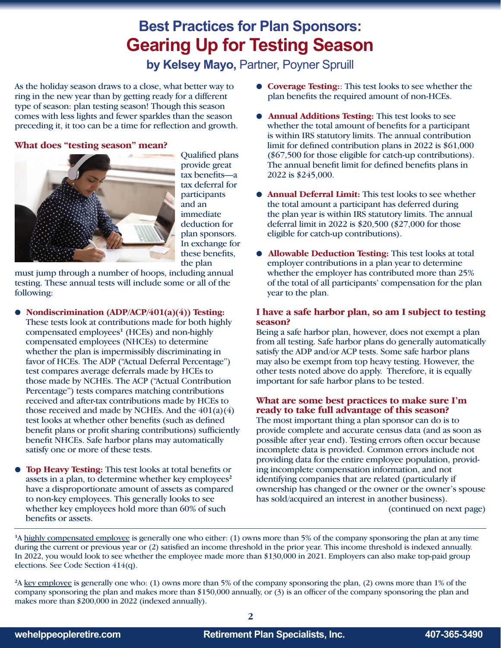### **Best Practices for Plan Sponsors: Gearing Up for Testing Season**

**by Kelsey Mayo, Partner, Poyner Spruill** 

As the holiday season draws to a close, what better way to ring in the new year than by getting ready for a different type of season: plan testing season! Though this season comes with less lights and fewer sparkles than the season preceding it, it too can be a time for reflection and growth.

#### **What does "testing season" mean?**



Qualified plans provide great tax benefits—a tax deferral for participants and an immediate deduction for plan sponsors. In exchange for these benefits, the plan

must jump through a number of hoops, including annual testing. These annual tests will include some or all of the following:

- b **Nondiscrimination (ADP/ACP/401(a)(4)) Testing:** These tests look at contributions made for both highly compensated employees**<sup>1</sup>** (HCEs) and non-highly compensated employees (NHCEs) to determine whether the plan is impermissibly discriminating in favor of HCEs. The ADP ("Actual Deferral Percentage") test compares average deferrals made by HCEs to those made by NCHEs. The ACP ("Actual Contribution Percentage") tests compares matching contributions received and after-tax contributions made by HCEs to those received and made by NCHEs. And the  $401(a)(4)$ test looks at whether other benefits (such as defined benefit plans or profit sharing contributions) sufficiently benefit NHCEs. Safe harbor plans may automatically satisfy one or more of these tests.
- **Top Heavy Testing:** This test looks at total benefits or assets in a plan, to determine whether key employees**<sup>2</sup>** have a disproportionate amount of assets as compared to non-key employees. This generally looks to see whether key employees hold more than 60% of such benefits or assets.
- b **Coverage Testing:**: This test looks to see whether the plan benefits the required amount of non-HCEs.
- Annual Additions Testing: This test looks to see whether the total amount of benefits for a participant is within IRS statutory limits. The annual contribution limit for defined contribution plans in 2022 is \$61,000 (\$67,500 for those eligible for catch-up contributions). The annual benefit limit for defined benefits plans in 2022 is \$245,000.
- **Annual Deferral Limit:** This test looks to see whether the total amount a participant has deferred during the plan year is within IRS statutory limits. The annual deferral limit in 2022 is \$20,500 (\$27,000 for those eligible for catch-up contributions).
- **Allowable Deduction Testing:** This test looks at total employer contributions in a plan year to determine whether the employer has contributed more than 25% of the total of all participants' compensation for the plan year to the plan.

#### **I have a safe harbor plan, so am I subject to testing season?**

Being a safe harbor plan, however, does not exempt a plan from all testing. Safe harbor plans do generally automatically satisfy the ADP and/or ACP tests. Some safe harbor plans may also be exempt from top heavy testing. However, the other tests noted above do apply. Therefore, it is equally important for safe harbor plans to be tested.

#### **What are some best practices to make sure I'm ready to take full advantage of this season?**

The most important thing a plan sponsor can do is to provide complete and accurate census data (and as soon as possible after year end). Testing errors often occur because incomplete data is provided. Common errors include not providing data for the entire employee population, providing incomplete compensation information, and not identifying companies that are related (particularly if ownership has changed or the owner or the owner's spouse has sold/acquired an interest in another business). (continued on next page)

**1** A highly compensated employee is generally one who either: (1) owns more than 5% of the company sponsoring the plan at any time during the current or previous year or (2) satisfied an income threshold in the prior year. This income threshold is indexed annually. In 2022, you would look to see whether the employee made more than \$130,000 in 2021. Employers can also make top-paid group elections. See Code Section 414(q).

**2** A key employee is generally one who: (1) owns more than 5% of the company sponsoring the plan, (2) owns more than 1% of the company sponsoring the plan and makes more than \$150,000 annually, or (3) is an officer of the company sponsoring the plan and makes more than \$200,000 in 2022 (indexed annually).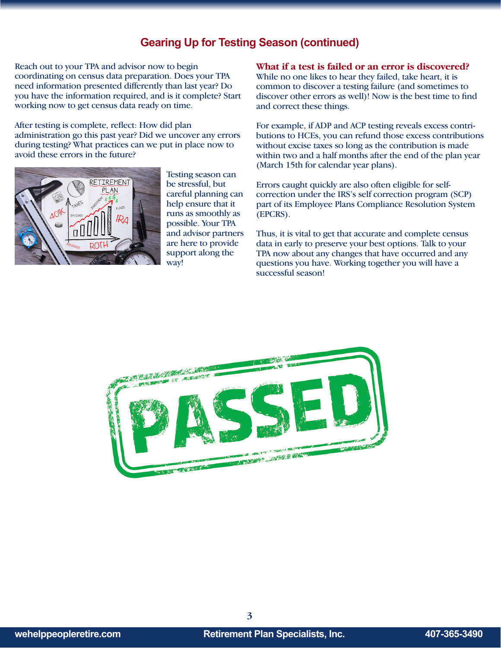#### **Gearing Up for Testing Season (continued)**

Reach out to your TPA and advisor now to begin coordinating on census data preparation. Does your TPA need information presented differently than last year? Do you have the information required, and is it complete? Start working now to get census data ready on time.

After testing is complete, reflect: How did plan administration go this past year? Did we uncover any errors during testing? What practices can we put in place now to avoid these errors in the future?



Testing season can be stressful, but careful planning can help ensure that it runs as smoothly as possible. Your TPA and advisor partners are here to provide support along the way!

**What if a test is failed or an error is discovered?**

While no one likes to hear they failed, take heart, it is common to discover a testing failure (and sometimes to discover other errors as well)! Now is the best time to find and correct these things.

For example, if ADP and ACP testing reveals excess contributions to HCEs, you can refund those excess contributions without excise taxes so long as the contribution is made within two and a half months after the end of the plan year (March 15th for calendar year plans).

Errors caught quickly are also often eligible for selfcorrection under the IRS's self correction program (SCP) part of its Employee Plans Compliance Resolution System (EPCRS).

Thus, it is vital to get that accurate and complete census data in early to preserve your best options. Talk to your TPA now about any changes that have occurred and any questions you have. Working together you will have a successful season!



**3**